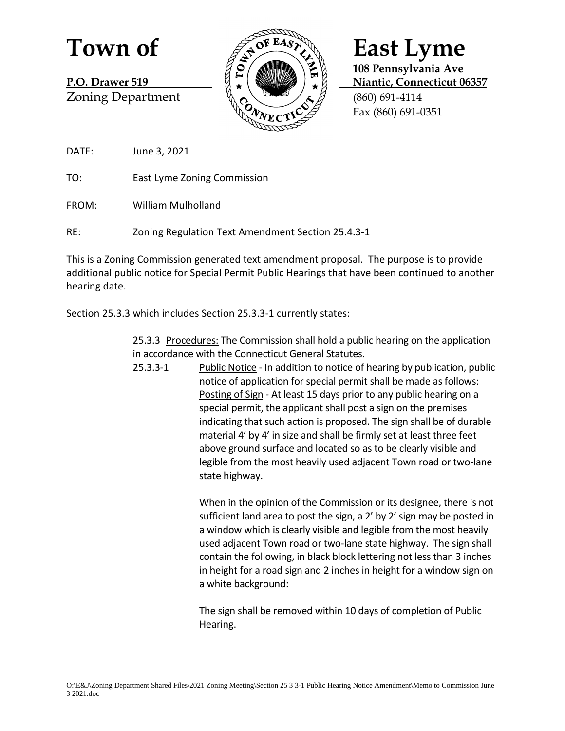Zoning Department  $\sqrt[n]{\alpha}$   $\sqrt[n]{\alpha}$  (860) 691-4114



**108 Pennsylvania Ave P.O. Drawer 519 Nightland B.O. Drawer 519 Nightland B.O. Drawer 519 Nightland B.O. Drawer 519** Fax (860) 691-0351

DATE: June 3, 2021

TO: East Lyme Zoning Commission

FROM: William Mulholland

RE: Zoning Regulation Text Amendment Section 25.4.3-1

This is a Zoning Commission generated text amendment proposal. The purpose is to provide additional public notice for Special Permit Public Hearings that have been continued to another hearing date.

Section 25.3.3 which includes Section 25.3.3-1 currently states:

25.3.3 Procedures: The Commission shall hold a public hearing on the application in accordance with the Connecticut General Statutes.

25.3.3-1 Public Notice - In addition to notice of hearing by publication, public notice of application for special permit shall be made as follows: Posting of Sign - At least 15 days prior to any public hearing on a special permit, the applicant shall post a sign on the premises indicating that such action is proposed. The sign shall be of durable material 4' by 4' in size and shall be firmly set at least three feet above ground surface and located so as to be clearly visible and legible from the most heavily used adjacent Town road or two-lane state highway.

> When in the opinion of the Commission or its designee, there is not sufficient land area to post the sign, a 2' by 2' sign may be posted in a window which is clearly visible and legible from the most heavily used adjacent Town road or two-lane state highway. The sign shall contain the following, in black block lettering not less than 3 inches in height for a road sign and 2 inches in height for a window sign on a white background:

The sign shall be removed within 10 days of completion of Public Hearing.